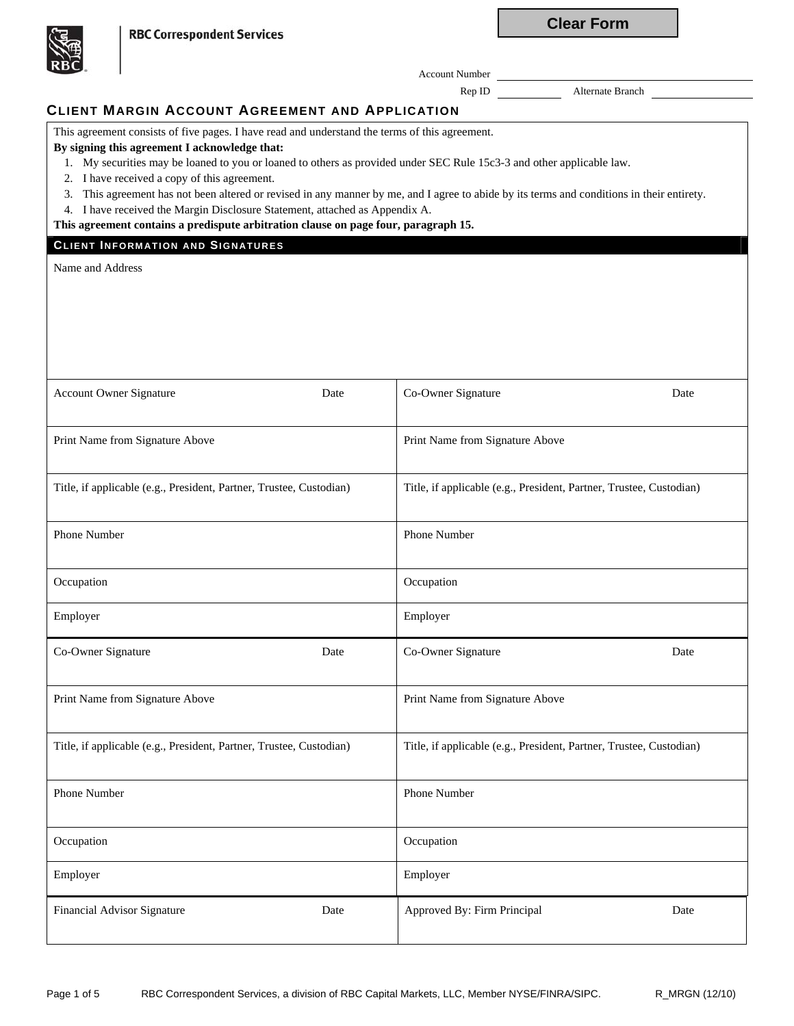**Clear Form**

**RBC Correspondent Services** 

Account Number

Rep ID Alternate Branch

# **CLIENT MARGIN ACCOUNT AGREEMENT AND APPLICATION**

This agreement consists of five pages. I have read and understand the terms of this agreement.

### **By signing this agreement I acknowledge that:**

1. My securities may be loaned to you or loaned to others as provided under SEC Rule 15c3-3 and other applicable law.

- 2. I have received a copy of this agreement.
- 3. This agreement has not been altered or revised in any manner by me, and I agree to abide by its terms and conditions in their entirety.
- 4. I have received the Margin Disclosure Statement, attached as Appendix A.

**This agreement contains a predispute arbitration clause on page four, paragraph 15.**

### **CLIENT I NFORMATION AND SIGNATURES**

Name and Address

| <b>Account Owner Signature</b>                                      | Date | Co-Owner Signature                                                  | Date |
|---------------------------------------------------------------------|------|---------------------------------------------------------------------|------|
| Print Name from Signature Above                                     |      | Print Name from Signature Above                                     |      |
| Title, if applicable (e.g., President, Partner, Trustee, Custodian) |      | Title, if applicable (e.g., President, Partner, Trustee, Custodian) |      |
| Phone Number                                                        |      | Phone Number                                                        |      |
| Occupation                                                          |      | Occupation                                                          |      |
| Employer                                                            |      | Employer                                                            |      |
| Co-Owner Signature                                                  | Date | Co-Owner Signature                                                  | Date |
| Print Name from Signature Above                                     |      | Print Name from Signature Above                                     |      |
| Title, if applicable (e.g., President, Partner, Trustee, Custodian) |      | Title, if applicable (e.g., President, Partner, Trustee, Custodian) |      |
| Phone Number                                                        |      | Phone Number                                                        |      |
| Occupation                                                          |      | Occupation                                                          |      |
| Employer                                                            |      | Employer                                                            |      |
| Financial Advisor Signature                                         | Date | Approved By: Firm Principal                                         | Date |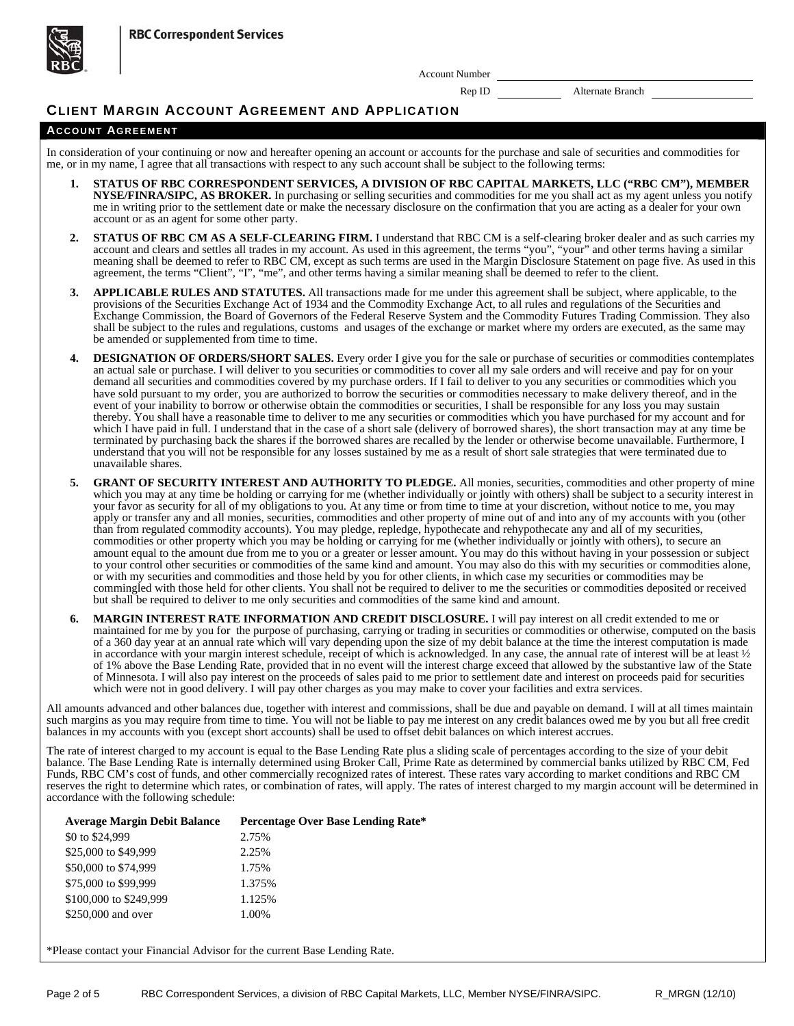**RBC Correspondent Services** 



Account Number

Rep ID Alternate Branch

## **CLIENT MARGIN ACCOUNT AGREEMENT AND APPLICATION**

#### **ACCOUNT AGREEMENT**

In consideration of your continuing or now and hereafter opening an account or accounts for the purchase and sale of securities and commodities for me, or in my name, I agree that all transactions with respect to any such account shall be subject to the following terms:

- **1. STATUS OF RBC CORRESPONDENT SERVICES, A DIVISION OF RBC CAPITAL MARKETS, LLC ("RBC CM"), MEMBER NYSE/FINRA/SIPC, AS BROKER.** In purchasing or selling securities and commodities for me you shall act as my agent unless you notify me in writing prior to the settlement date or make the necessary disclosure on the confirmation that you are acting as a dealer for your own account or as an agent for some other party.
- **2. STATUS OF RBC CM AS A SELF-CLEARING FIRM.** I understand that RBC CM is a self-clearing broker dealer and as such carries my account and clears and settles all trades in my account. As used in this agreement, the terms "you", "your" and other terms having a similar meaning shall be deemed to refer to RBC CM, except as such terms are used in the Margin Disclosure Statement on page five. As used in this agreement, the terms "Client", "I", "me", and other terms having a similar meaning shall be deemed to refer to the client.
- **3. APPLICABLE RULES AND STATUTES.** All transactions made for me under this agreement shall be subject, where applicable, to the provisions of the Securities Exchange Act of 1934 and the Commodity Exchange Act, to all rules and regulations of the Securities and Exchange Commission, the Board of Governors of the Federal Reserve System and the Commodity Futures Trading Commission. They also shall be subject to the rules and regulations, customs and usages of the exchange or market where my orders are executed, as the same may be amended or supplemented from time to time.
- **DESIGNATION OF ORDERS/SHORT SALES.** Every order I give you for the sale or purchase of securities or commodities contemplates an actual sale or purchase. I will deliver to you securities or commodities to cover all my sale orders and will receive and pay for on your demand all securities and commodities covered by my purchase orders. If I fail to deliver to you any securities or commodities which you have sold pursuant to my order, you are authorized to borrow the securities or commodities necessary to make delivery thereof, and in the event of your inability to borrow or otherwise obtain the commodities or securities, I shall be responsible for any loss you may sustain thereby. You shall have a reasonable time to deliver to me any securities or commodities which you have purchased for my account and for which I have paid in full. I understand that in the case of a short sale (delivery of borrowed shares), the short transaction may at any time be terminated by purchasing back the shares if the borrowed shares are recalled by the lender or otherwise become unavailable. Furthermore, I understand that you will not be responsible for any losses sustained by me as a result of short sale strategies that were terminated due to unavailable shares.
- **5. GRANT OF SECURITY INTEREST AND AUTHORITY TO PLEDGE.** All monies, securities, commodities and other property of mine which you may at any time be holding or carrying for me (whether individually or jointly with others) shall be subject to a security interest in your favor as security for all of my obligations to you. At any time or from time to time at your discretion, without notice to me, you may apply or transfer any and all monies, securities, commodities and other property of mine out of and into any of my accounts with you (other than from regulated commodity accounts). You may pledge, repledge, hypothecate and rehypothecate any and all of my securities, commodities or other property which you may be holding or carrying for me (whether individually or jointly with others), to secure an amount equal to the amount due from me to you or a greater or lesser amount. You may do this without having in your possession or subject to your control other securities or commodities of the same kind and amount. You may also do this with my securities or commodities alone, or with my securities and commodities and those held by you for other clients, in which case my securities or commodities may be commingled with those held for other clients. You shall not be required to deliver to me the securities or commodities deposited or received but shall be required to deliver to me only securities and commodities of the same kind and amount.
- **6. MARGIN INTEREST RATE INFORMATION AND CREDIT DISCLOSURE.** I will pay interest on all credit extended to me or maintained for me by you for the purpose of purchasing, carrying or trading in securities or commodities or otherwise, computed on the basis of a 360 day year at an annual rate which will vary depending upon the size of my debit balance at the time the interest computation is made in accordance with your margin interest schedule, receipt of which is acknowledged. In any case, the annual rate of interest will be at least  $\frac{1}{2}$ of 1% above the Base Lending Rate, provided that in no event will the interest charge exceed that allowed by the substantive law of the State of Minnesota. I will also pay interest on the proceeds of sales paid to me prior to settlement date and interest on proceeds paid for securities which were not in good delivery. I will pay other charges as you may make to cover your facilities and extra services.

All amounts advanced and other balances due, together with interest and commissions, shall be due and payable on demand. I will at all times maintain such margins as you may require from time to time. You will not be liable to pay me interest on any credit balances owed me by you but all free credit balances in my accounts with you (except short accounts) shall be used to offset debit balances on which interest accrues.

The rate of interest charged to my account is equal to the Base Lending Rate plus a sliding scale of percentages according to the size of your debit balance. The Base Lending Rate is internally determined using Broker Call, Prime Rate as determined by commercial banks utilized by RBC CM, Fed Funds, RBC CM's cost of funds, and other commercially recognized rates of interest. These rates vary according to market conditions and RBC CM reserves the right to determine which rates, or combination of rates, will apply. The rates of interest charged to my margin account will be determined in accordance with the following schedule:

| <b>Average Margin Debit Balance</b> | Percentage Over Base Lending Rate* |
|-------------------------------------|------------------------------------|
| \$0 to \$24,999                     | 2.75%                              |
| \$25,000 to \$49,999                | 2.25%                              |
| \$50,000 to \$74,999                | 1.75%                              |
| \$75,000 to \$99,999                | 1.375%                             |
| \$100,000 to \$249,999              | 1.125%                             |
| \$250,000 and over                  | 1.00%                              |
|                                     |                                    |

\*Please contact your Financial Advisor for the current Base Lending Rate.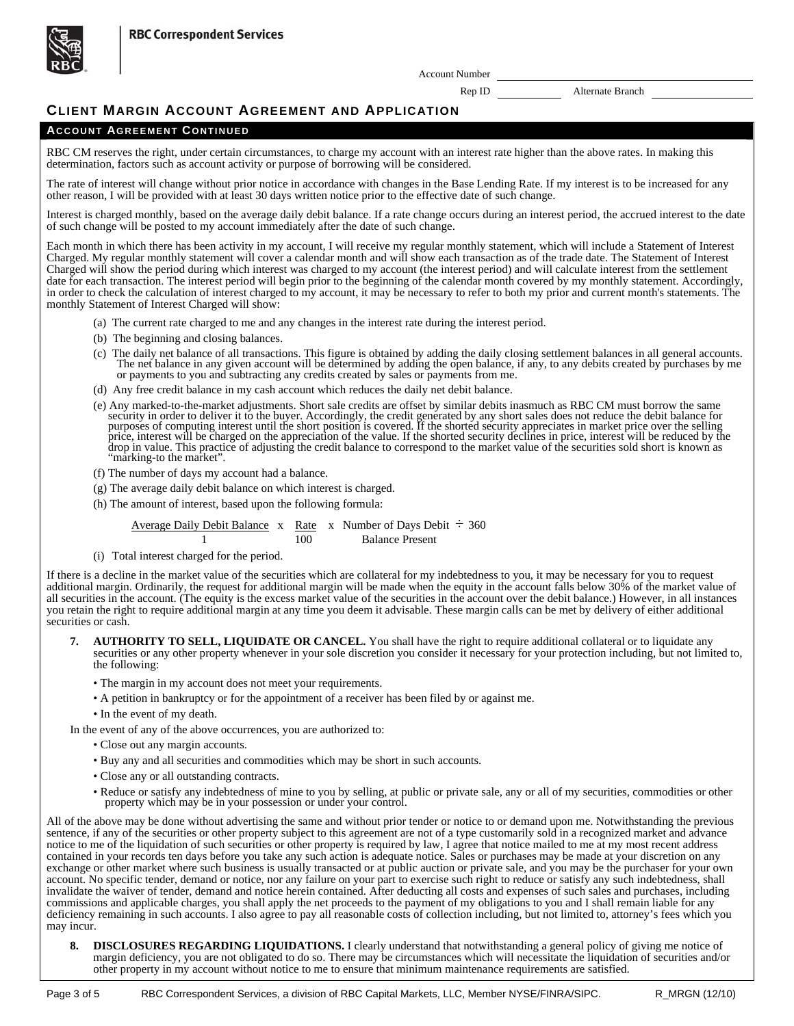



Account Number

Rep ID Alternate Branch

## **CLIENT MARGIN ACCOUNT AGREEMENT AND APPLICATION**

### **ACCOUNT AGREEMENT CONTINUED**

RBC CM reserves the right, under certain circumstances, to charge my account with an interest rate higher than the above rates. In making this determination, factors such as account activity or purpose of borrowing will be considered.

The rate of interest will change without prior notice in accordance with changes in the Base Lending Rate. If my interest is to be increased for any other reason, I will be provided with at least 30 days written notice prior to the effective date of such change.

Interest is charged monthly, based on the average daily debit balance. If a rate change occurs during an interest period, the accrued interest to the date of such change will be posted to my account immediately after the date of such change.

Each month in which there has been activity in my account, I will receive my regular monthly statement, which will include a Statement of Interest Charged. My regular monthly statement will cover a calendar month and will show each transaction as of the trade date. The Statement of Interest Charged will show the period during which interest was charged to my account (the interest period) and will calculate interest from the settlement date for each transaction. The interest period will begin prior to the beginning of the calendar month covered by my monthly statement. Accordingly, in order to check the calculation of interest charged to my account, it may be necessary to refer to both my prior and current month's statements. The monthly Statement of Interest Charged will show:

- (a) The current rate charged to me and any changes in the interest rate during the interest period.
- (b) The beginning and closing balances.
- (c) The daily net balance of all transactions. This figure is obtained by adding the daily closing settlement balances in all general accounts. The net balance in any given account will be determined by adding the open bal
- (d) Any free credit balance in my cash account which reduces the daily net debit balance.
- (e) Any marked-to-the-market adjustments. Short sale credits are offset by similar debits inasmuch as RBC CM must borrow the same security in order to deliver it to the buyer. Accordingly, the credit generated by any short purposes of computing interest until the short position is covered. If the shorted security appreciates in market price over the selling<br>price, interest will be charged on the appreciation of the value. If the shorted secu drop in value. This practice of adjusting the credit balance to correspond to the market value of the securities sold short is known as "marking-to the market".
- (f) The number of days my account had a balance.
- (g) The average daily debit balance on which interest is charged.
- (h) The amount of interest, based upon the following formula:

Average Daily Debit Balance x Rate x Number of Days Debit  $\div$  360 100 Balance Present

(i) Total interest charged for the period.

If there is a decline in the market value of the securities which are collateral for my indebtedness to you, it may be necessary for you to request additional margin. Ordinarily, the request for additional margin will be made when the equity in the account falls below 30% of the market value of all securities in the account. (The equity is the excess market value of the securities in the account over the debit balance.) However, in all instances you retain the right to require additional margin at any time you deem it advisable. These margin calls can be met by delivery of either additional securities or cash.

- **7. AUTHORITY TO SELL, LIQUIDATE OR CANCEL.** You shall have the right to require additional collateral or to liquidate any securities or any other property whenever in your sole discretion you consider it necessary for your protection including, but not limited to, the following:
	- The margin in my account does not meet your requirements.
	- A petition in bankruptcy or for the appointment of a receiver has been filed by or against me.
	- In the event of my death.

In the event of any of the above occurrences, you are authorized to:

- Close out any margin accounts.
- Buy any and all securities and commodities which may be short in such accounts.
- Close any or all outstanding contracts.
- Reduce or satisfy any indebtedness of mine to you by selling, at public or private sale, any or all of my securities, commodities or other property which may be in your possession or under your control.

All of the above may be done without advertising the same and without prior tender or notice to or demand upon me. Notwithstanding the previous sentence, if any of the securities or other property subject to this agreement are not of a type customarily sold in a recognized market and advance notice to me of the liquidation of such securities or other property is required by law, I agree that notice mailed to me at my most recent address contained in your records ten days before you take any such action is adequate notice. Sales or purchases may be made at your discretion on any exchange or other market where such business is usually transacted or at public auction or private sale, and you may be the purchaser for your own account. No specific tender, demand or notice, nor any failure on your part to exercise such right to reduce or satisfy any such indebtedness, shall invalidate the waiver of tender, demand and notice herein contained. After deducting all costs and expenses of such sales and purchases, including commissions and applicable charges, you shall apply the net proceeds to the payment of my obligations to you and I shall remain liable for any deficiency remaining in such accounts. I also agree to pay all reasonable costs of collection including, but not limited to, attorney's fees which you may incur.

**8. DISCLOSURES REGARDING LIQUIDATIONS.** I clearly understand that notwithstanding a general policy of giving me notice of margin deficiency, you are not obligated to do so. There may be circumstances which will necessitate the liquidation of securities and/or other property in my account without notice to me to ensure that minimum maintenance requirements are satisfied.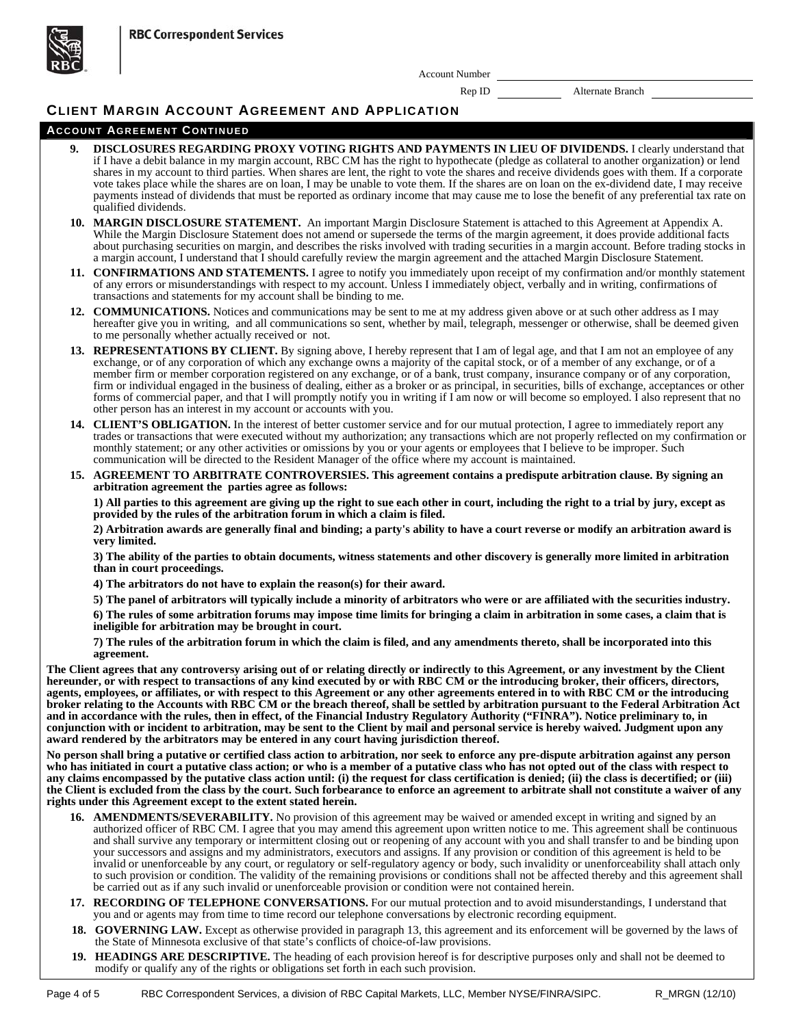**RBC Correspondent Services** 



Account Number

Rep ID Alternate Branch

## **CLIENT MARGIN ACCOUNT AGREEMENT AND APPLICATION**

#### **ACCOUNT AGREEMENT CONTINUED**

- **9. DISCLOSURES REGARDING PROXY VOTING RIGHTS AND PAYMENTS IN LIEU OF DIVIDENDS.** I clearly understand that if I have a debit balance in my margin account, RBC CM has the right to hypothecate (pledge as collateral to another organization) or lend shares in my account to third parties. When shares are lent, the right to vote the shares and receive dividends goes with them. If a corporate vote takes place while the shares are on loan, I may be unable to vote them. If the shares are on loan on the ex-dividend date, I may receive payments instead of dividends that must be reported as ordinary income that may cause me to lose the benefit of any preferential tax rate on qualified dividends. **10. MARGIN DISCLOSURE STATEMENT.** An important Margin Disclosure Statement is attached to this Agreement at Appendix A. While the Margin Disclosure Statement does not amend or supersede the terms of the margin agreement, it does provide additional facts about purchasing securities on margin, and describes the risks involved with trading securities in a margin account. Before trading stocks in a margin account, I understand that I should carefully review the margin agreement and the attached Margin Disclosure Statement. **11. CONFIRMATIONS AND STATEMENTS.** I agree to notify you immediately upon receipt of my confirmation and/or monthly statement of any errors or misunderstandings with respect to my account. Unless I immediately object, verbally and in writing, confirmations of transactions and statements for my account shall be binding to me. **12. COMMUNICATIONS.** Notices and communications may be sent to me at my address given above or at such other address as I may hereafter give you in writing, and all communications so sent, whether by mail, telegraph, messenger or otherwise, shall be deemed given to me personally whether actually received or not. 13. **REPRESENTATIONS BY CLIENT.** By signing above, I hereby represent that I am of legal age, and that I am not an employee of any exchange, or of any corporation of which any exchange owns a majority of the capital stock, or of a member of any exchange, or of a member firm or member corporation registered on any exchange, or of a bank, trust company, insurance company or of any corporation, firm or individual engaged in the business of dealing, either as a broker or as principal, in securities, bills of exchange, acceptances or other forms of commercial paper, and that I will promptly notify you in writing if I am now or will become so employed. I also represent that no other person has an interest in my account or accounts with you. **14. CLIENT'S OBLIGATION.** In the interest of better customer service and for our mutual protection, I agree to immediately report any trades or transactions that were executed without my authorization; any transactions which are not properly reflected on my confirmation or monthly statement; or any other activities or omissions by you or your agents or employees that I believe to be improper. Such communication will be directed to the Resident Manager of the office where my account is maintained. **15. AGREEMENT TO ARBITRATE CONTROVERSIES. This agreement contains a predispute arbitration clause. By signing an arbitration agreement the parties agree as follows: 1) All parties to this agreement are giving up the right to sue each other in court, including the right to a trial by jury, except as provided by the rules of the arbitration forum in which a claim is filed. 2) Arbitration awards are generally final and binding; a party's ability to have a court reverse or modify an arbitration award is very limited. 3) The ability of the parties to obtain documents, witness statements and other discovery is generally more limited in arbitration than in court proceedings. 4) The arbitrators do not have to explain the reason(s) for their award. 5) The panel of arbitrators will typically include a minority of arbitrators who were or are affiliated with the securities industry. 6) The rules of some arbitration forums may impose time limits for bringing a claim in arbitration in some cases, a claim that is ineligible for arbitration may be brought in court. 7) The rules of the arbitration forum in which the claim is filed, and any amendments thereto, shall be incorporated into this agreement. The Client agrees that any controversy arising out of or relating directly or indirectly to this Agreement, or any investment by the Client hereunder, or with respect to transactions of any kind executed by or with RBC CM or the introducing broker, their officers, directors, agents, employees, or affiliates, or with respect to this Agreement or any other agreements entered in to with RBC CM or the introducing broker relating to the Accounts with RBC CM or the breach thereof, shall be settled by arbitration pursuant to the Federal Arbitration Act and in accordance with the rules, then in effect, of the Financial Industry Regulatory Authority ("FINRA"). Notice preliminary to, in conjunction with or incident to arbitration, may be sent to the Client by mail and personal service is hereby waived. Judgment upon any award rendered by the arbitrators may be entered in any court having jurisdiction thereof. No person shall bring a putative or certified class action to arbitration, nor seek to enforce any pre-dispute arbitration against any person who has initiated in court a putative class action; or who is a member of a putative class who has not opted out of the class with respect to any claims encompassed by the putative class action until: (i) the request for class certification is denied; (ii) the class is decertified; or (iii) the Client is excluded from the class by the court. Such forbearance to enforce an agreement to arbitrate shall not constitute a waiver of any**
- **rights under this Agreement except to the extent stated herein.** 
	- **16. AMENDMENTS/SEVERABILITY.** No provision of this agreement may be waived or amended except in writing and signed by an authorized officer of RBC CM. I agree that you may amend this agreement upon written notice to me. This agreement shall be continuous and shall survive any temporary or intermittent closing out or reopening of any account with you and shall transfer to and be binding upon your successors and assigns and my administrators, executors and assigns. If any provision or condition of this agreement is held to be invalid or unenforceable by any court, or regulatory or self-regulatory agency or body, such invalidity or unenforceability shall attach only to such provision or condition. The validity of the remaining provisions or conditions shall not be affected thereby and this agreement shall be carried out as if any such invalid or unenforceable provision or condition were not contained herein.
	- **17. RECORDING OF TELEPHONE CONVERSATIONS.** For our mutual protection and to avoid misunderstandings, I understand that you and or agents may from time to time record our telephone conversations by electronic recording equipment.
	- **18. GOVERNING LAW.** Except as otherwise provided in paragraph 13, this agreement and its enforcement will be governed by the laws of the State of Minnesota exclusive of that state's conflicts of choice-of-law provisions.
	- **19. HEADINGS ARE DESCRIPTIVE.** The heading of each provision hereof is for descriptive purposes only and shall not be deemed to modify or qualify any of the rights or obligations set forth in each such provision.